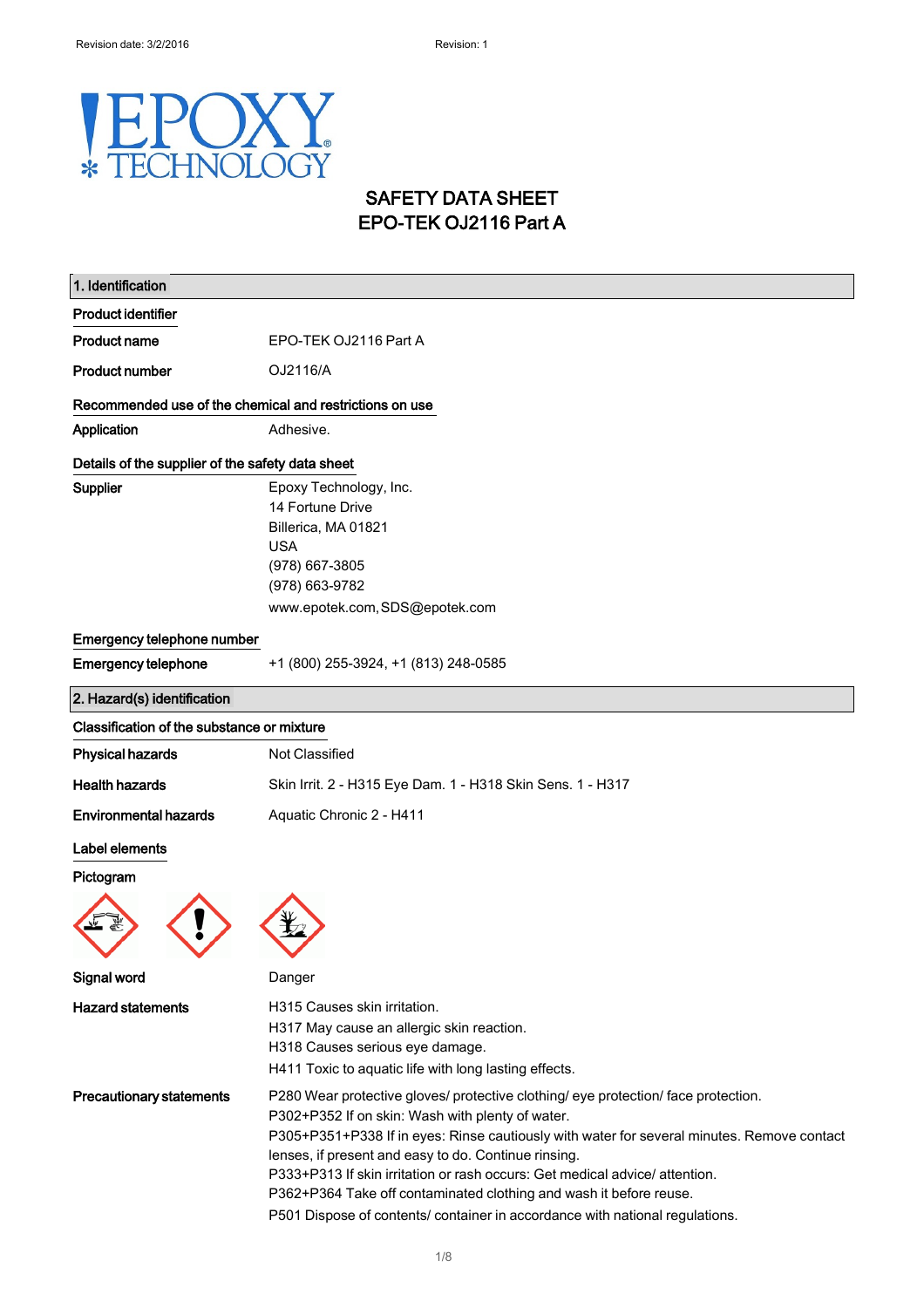## Y F  $\begin{pmatrix} 1 \\ 1 \end{pmatrix}$ HNOL **COY**  $\ast$

## SAFETY DATA SHEET EPO-TEK OJ2116 Part A

| 1. Identification                                |                                                                                                                                                                                                                                                                                                                                                                                                                                                                                                                                   |  |
|--------------------------------------------------|-----------------------------------------------------------------------------------------------------------------------------------------------------------------------------------------------------------------------------------------------------------------------------------------------------------------------------------------------------------------------------------------------------------------------------------------------------------------------------------------------------------------------------------|--|
| <b>Product identifier</b>                        |                                                                                                                                                                                                                                                                                                                                                                                                                                                                                                                                   |  |
| <b>Product name</b>                              | EPO-TEK OJ2116 Part A                                                                                                                                                                                                                                                                                                                                                                                                                                                                                                             |  |
| <b>Product number</b>                            | OJ2116/A                                                                                                                                                                                                                                                                                                                                                                                                                                                                                                                          |  |
|                                                  | Recommended use of the chemical and restrictions on use                                                                                                                                                                                                                                                                                                                                                                                                                                                                           |  |
| Application                                      | Adhesive.                                                                                                                                                                                                                                                                                                                                                                                                                                                                                                                         |  |
| Details of the supplier of the safety data sheet |                                                                                                                                                                                                                                                                                                                                                                                                                                                                                                                                   |  |
| Supplier                                         | Epoxy Technology, Inc.<br>14 Fortune Drive<br>Billerica, MA 01821<br><b>USA</b><br>(978) 667-3805<br>(978) 663-9782<br>www.epotek.com, SDS@epotek.com                                                                                                                                                                                                                                                                                                                                                                             |  |
| Emergency telephone number                       |                                                                                                                                                                                                                                                                                                                                                                                                                                                                                                                                   |  |
| <b>Emergency telephone</b>                       | +1 (800) 255-3924, +1 (813) 248-0585                                                                                                                                                                                                                                                                                                                                                                                                                                                                                              |  |
| 2. Hazard(s) identification                      |                                                                                                                                                                                                                                                                                                                                                                                                                                                                                                                                   |  |
| Classification of the substance or mixture       |                                                                                                                                                                                                                                                                                                                                                                                                                                                                                                                                   |  |
| <b>Physical hazards</b>                          | Not Classified                                                                                                                                                                                                                                                                                                                                                                                                                                                                                                                    |  |
| <b>Health hazards</b>                            | Skin Irrit. 2 - H315 Eye Dam. 1 - H318 Skin Sens. 1 - H317                                                                                                                                                                                                                                                                                                                                                                                                                                                                        |  |
| <b>Environmental hazards</b>                     | Aquatic Chronic 2 - H411                                                                                                                                                                                                                                                                                                                                                                                                                                                                                                          |  |
| Label elements<br>Pictogram                      |                                                                                                                                                                                                                                                                                                                                                                                                                                                                                                                                   |  |
| Signal word                                      | שenger                                                                                                                                                                                                                                                                                                                                                                                                                                                                                                                            |  |
| <b>Hazard statements</b>                         | H315 Causes skin irritation.<br>H317 May cause an allergic skin reaction.<br>H318 Causes serious eye damage.<br>H411 Toxic to aquatic life with long lasting effects.                                                                                                                                                                                                                                                                                                                                                             |  |
| <b>Precautionary statements</b>                  | P280 Wear protective gloves/ protective clothing/ eye protection/ face protection.<br>P302+P352 If on skin: Wash with plenty of water.<br>P305+P351+P338 If in eyes: Rinse cautiously with water for several minutes. Remove contact<br>lenses, if present and easy to do. Continue rinsing.<br>P333+P313 If skin irritation or rash occurs: Get medical advice/ attention.<br>P362+P364 Take off contaminated clothing and wash it before reuse.<br>P501 Dispose of contents/ container in accordance with national regulations. |  |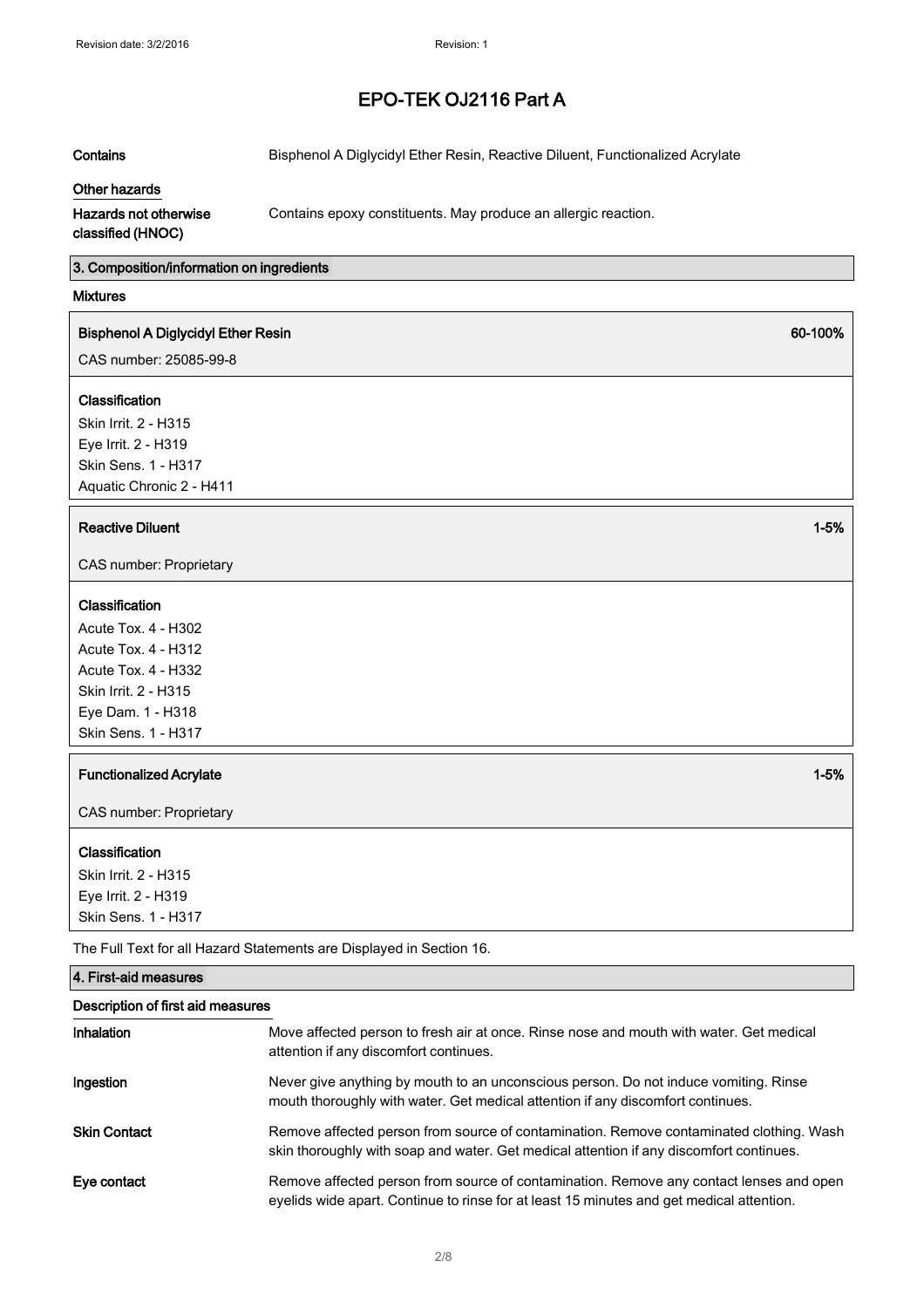Contains **Bisphenol A Diglycidyl Ether Resin, Reactive Diluent, Functionalized Acrylate** 

## Other hazards

Contains epoxy constituents. May produce an allergic reaction.

## Hazards not otherwise classified (HNOC)

3. Composition/information on ingredients

## Mixtures

## Bisphenol A Diglycidyl Ether Resin

CAS number: 25085-99-8

## Classification

Skin Irrit. 2 - H315 Eye Irrit. 2 - H319 Skin Sens. 1 - H317 Aquatic Chronic 2 - H411

## **Reactive Diluent 1-5%** and 2-5% and 2-5% and 2-5% and 2-5% and 2-5% and 2-5% and 2-5% and 2-5% and 2-5% and 2-5%

CAS number: Proprietary

## Classification

Acute Tox. 4 - H302 Acute Tox. 4 - H312 Acute Tox. 4 - H332 Skin Irrit. 2 - H315 Eye Dam. 1 - H318 Skin Sens. 1 - H317

## **Functionalized Acrylate 1-5%** and the set of the set of the set of the set of the set of the set of the set of the set of the set of the set of the set of the set of the set of the set of the set of the set of the set of

CAS number: Proprietary

## Classification

Skin Irrit. 2 - H315 Eye Irrit. 2 - H319 Skin Sens. <sup>1</sup> - H317

4. First-aid measures

The Full Text for all Hazard Statements are Displayed in Section 16.

| Description of first aid measures |                                                                                                                                                                                     |  |
|-----------------------------------|-------------------------------------------------------------------------------------------------------------------------------------------------------------------------------------|--|
| <b>Inhalation</b>                 | Move affected person to fresh air at once. Rinse nose and mouth with water. Get medical<br>attention if any discomfort continues.                                                   |  |
| Ingestion                         | Never give anything by mouth to an unconscious person. Do not induce vomiting. Rinse<br>mouth thoroughly with water. Get medical attention if any discomfort continues.             |  |
| <b>Skin Contact</b>               | Remove affected person from source of contamination. Remove contaminated clothing. Wash<br>skin thoroughly with soap and water. Get medical attention if any discomfort continues.  |  |
| Eye contact                       | Remove affected person from source of contamination. Remove any contact lenses and open<br>eyelids wide apart. Continue to rinse for at least 15 minutes and get medical attention. |  |

60-100%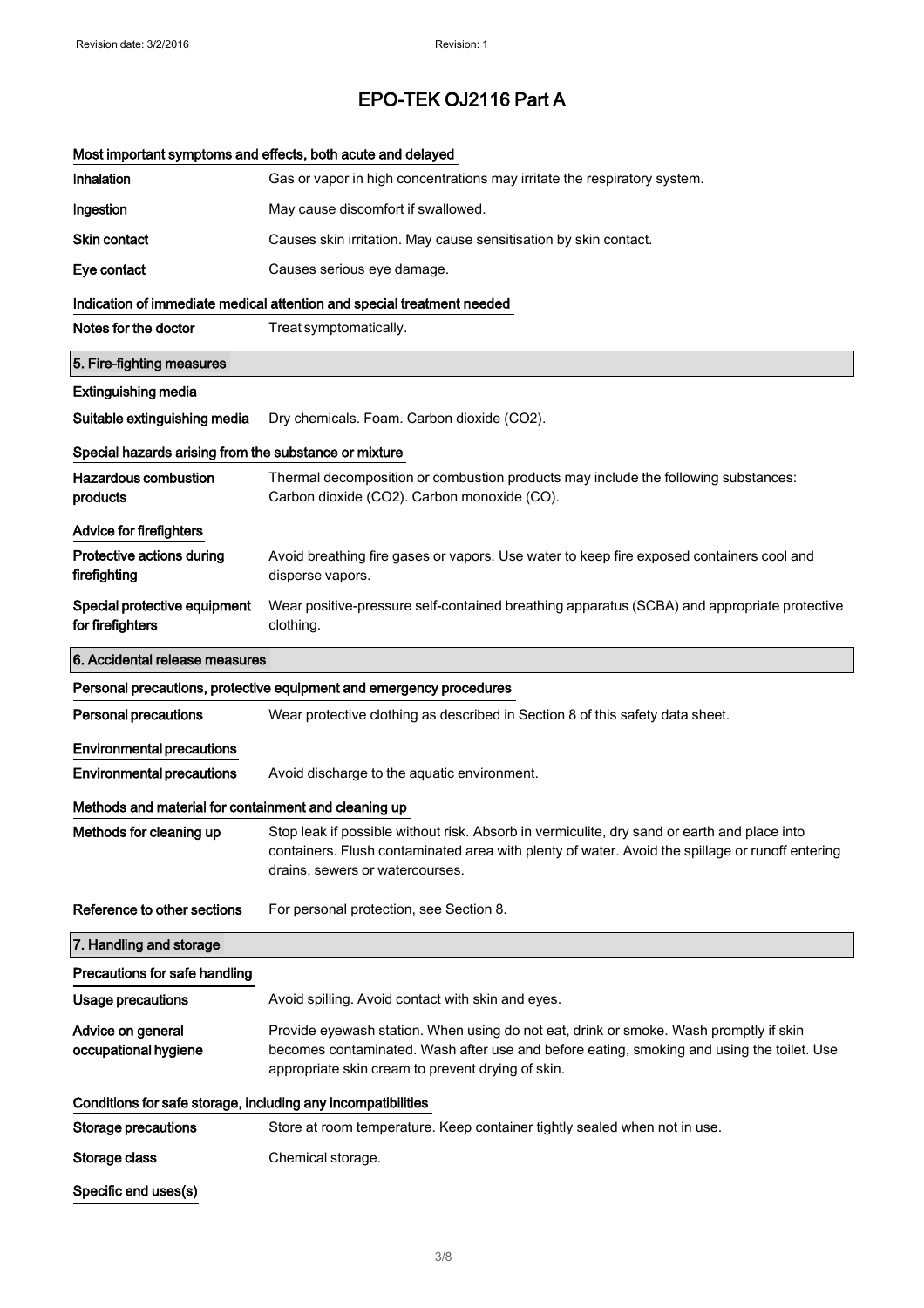|                                                              | Most important symptoms and effects, both acute and delayed                                                                                                                                                                             |
|--------------------------------------------------------------|-----------------------------------------------------------------------------------------------------------------------------------------------------------------------------------------------------------------------------------------|
| Inhalation                                                   | Gas or vapor in high concentrations may irritate the respiratory system.                                                                                                                                                                |
| Ingestion                                                    | May cause discomfort if swallowed.                                                                                                                                                                                                      |
| <b>Skin contact</b>                                          | Causes skin irritation. May cause sensitisation by skin contact.                                                                                                                                                                        |
| Eye contact                                                  | Causes serious eye damage.                                                                                                                                                                                                              |
|                                                              | Indication of immediate medical attention and special treatment needed                                                                                                                                                                  |
| Notes for the doctor                                         | Treat symptomatically.                                                                                                                                                                                                                  |
| 5. Fire-fighting measures                                    |                                                                                                                                                                                                                                         |
| <b>Extinguishing media</b>                                   |                                                                                                                                                                                                                                         |
| Suitable extinguishing media                                 | Dry chemicals. Foam. Carbon dioxide (CO2).                                                                                                                                                                                              |
| Special hazards arising from the substance or mixture        |                                                                                                                                                                                                                                         |
| Hazardous combustion<br>products                             | Thermal decomposition or combustion products may include the following substances:<br>Carbon dioxide (CO2). Carbon monoxide (CO).                                                                                                       |
| <b>Advice for firefighters</b>                               |                                                                                                                                                                                                                                         |
| Protective actions during<br>firefighting                    | Avoid breathing fire gases or vapors. Use water to keep fire exposed containers cool and<br>disperse vapors.                                                                                                                            |
| Special protective equipment<br>for firefighters             | Wear positive-pressure self-contained breathing apparatus (SCBA) and appropriate protective<br>clothing.                                                                                                                                |
| 6. Accidental release measures                               |                                                                                                                                                                                                                                         |
|                                                              | Personal precautions, protective equipment and emergency procedures                                                                                                                                                                     |
| <b>Personal precautions</b>                                  | Wear protective clothing as described in Section 8 of this safety data sheet.                                                                                                                                                           |
| <b>Environmental precautions</b>                             |                                                                                                                                                                                                                                         |
| <b>Environmental precautions</b>                             | Avoid discharge to the aquatic environment.                                                                                                                                                                                             |
| Methods and material for containment and cleaning up         |                                                                                                                                                                                                                                         |
| Methods for cleaning up                                      | Stop leak if possible without risk. Absorb in vermiculite, dry sand or earth and place into<br>containers. Flush contaminated area with plenty of water. Avoid the spillage or runoff entering<br>drains, sewers or watercourses.       |
| Reference to other sections                                  | For personal protection, see Section 8.                                                                                                                                                                                                 |
| 7. Handling and storage                                      |                                                                                                                                                                                                                                         |
| Precautions for safe handling                                |                                                                                                                                                                                                                                         |
| Usage precautions                                            | Avoid spilling. Avoid contact with skin and eyes.                                                                                                                                                                                       |
| Advice on general<br>occupational hygiene                    | Provide eyewash station. When using do not eat, drink or smoke. Wash promptly if skin<br>becomes contaminated. Wash after use and before eating, smoking and using the toilet. Use<br>appropriate skin cream to prevent drying of skin. |
| Conditions for safe storage, including any incompatibilities |                                                                                                                                                                                                                                         |
| <b>Storage precautions</b>                                   | Store at room temperature. Keep container tightly sealed when not in use.                                                                                                                                                               |
| Storage class                                                | Chemical storage.                                                                                                                                                                                                                       |
| Specific end uses(s)                                         |                                                                                                                                                                                                                                         |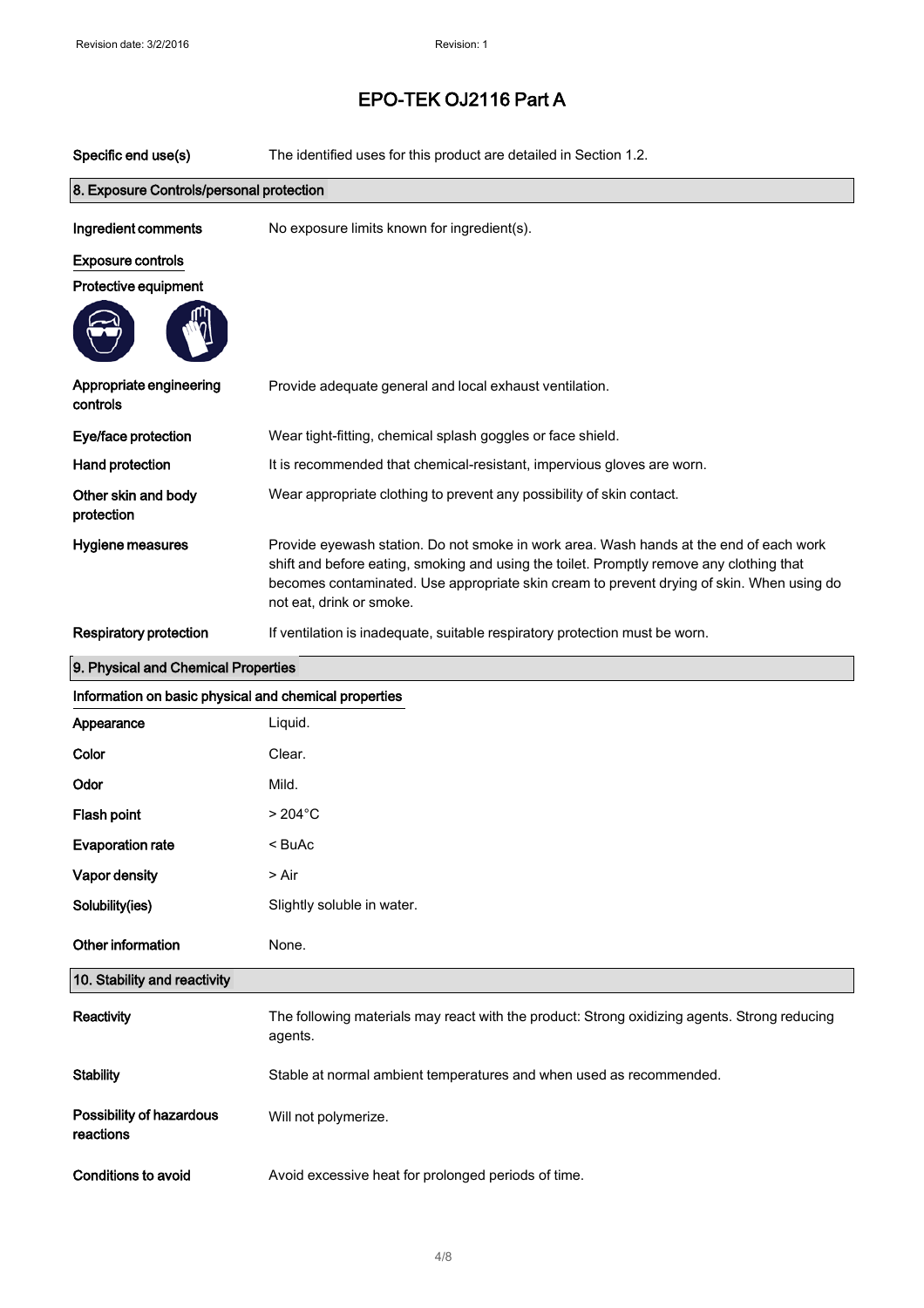| Specific end use(s)                                   | The identified uses for this product are detailed in Section 1.2.                                                                                                                                                                                                                                           |  |
|-------------------------------------------------------|-------------------------------------------------------------------------------------------------------------------------------------------------------------------------------------------------------------------------------------------------------------------------------------------------------------|--|
| 8. Exposure Controls/personal protection              |                                                                                                                                                                                                                                                                                                             |  |
| Ingredient comments                                   | No exposure limits known for ingredient(s).                                                                                                                                                                                                                                                                 |  |
| <b>Exposure controls</b>                              |                                                                                                                                                                                                                                                                                                             |  |
| Protective equipment                                  |                                                                                                                                                                                                                                                                                                             |  |
|                                                       |                                                                                                                                                                                                                                                                                                             |  |
| Appropriate engineering<br>controls                   | Provide adequate general and local exhaust ventilation.                                                                                                                                                                                                                                                     |  |
| Eye/face protection                                   | Wear tight-fitting, chemical splash goggles or face shield.                                                                                                                                                                                                                                                 |  |
| Hand protection                                       | It is recommended that chemical-resistant, impervious gloves are worn.                                                                                                                                                                                                                                      |  |
| Other skin and body<br>protection                     | Wear appropriate clothing to prevent any possibility of skin contact.                                                                                                                                                                                                                                       |  |
| Hygiene measures                                      | Provide eyewash station. Do not smoke in work area. Wash hands at the end of each work<br>shift and before eating, smoking and using the toilet. Promptly remove any clothing that<br>becomes contaminated. Use appropriate skin cream to prevent drying of skin. When using do<br>not eat, drink or smoke. |  |
| <b>Respiratory protection</b>                         | If ventilation is inadequate, suitable respiratory protection must be worn.                                                                                                                                                                                                                                 |  |
| 9. Physical and Chemical Properties                   |                                                                                                                                                                                                                                                                                                             |  |
| Information on basic physical and chemical properties |                                                                                                                                                                                                                                                                                                             |  |
| Appearance                                            | Liquid.                                                                                                                                                                                                                                                                                                     |  |
| Color                                                 | Clear.                                                                                                                                                                                                                                                                                                      |  |
| Odor                                                  | Mild.                                                                                                                                                                                                                                                                                                       |  |
| <b>Flash point</b>                                    | $>204^{\circ}$ C                                                                                                                                                                                                                                                                                            |  |
| <b>Evaporation rate</b>                               | < BuAc                                                                                                                                                                                                                                                                                                      |  |
| <b>Vapor density</b>                                  | > Air                                                                                                                                                                                                                                                                                                       |  |
| Solubility(ies)                                       | Slightly soluble in water.                                                                                                                                                                                                                                                                                  |  |
| Other information                                     | None.                                                                                                                                                                                                                                                                                                       |  |
| 10. Stability and reactivity                          |                                                                                                                                                                                                                                                                                                             |  |
| Reactivity                                            | The following materials may react with the product: Strong oxidizing agents. Strong reducing<br>agents.                                                                                                                                                                                                     |  |
| <b>Stability</b>                                      | Stable at normal ambient temperatures and when used as recommended.                                                                                                                                                                                                                                         |  |
| Possibility of hazardous<br>reactions                 | Will not polymerize.                                                                                                                                                                                                                                                                                        |  |
| Conditions to avoid                                   | Avoid excessive heat for prolonged periods of time.                                                                                                                                                                                                                                                         |  |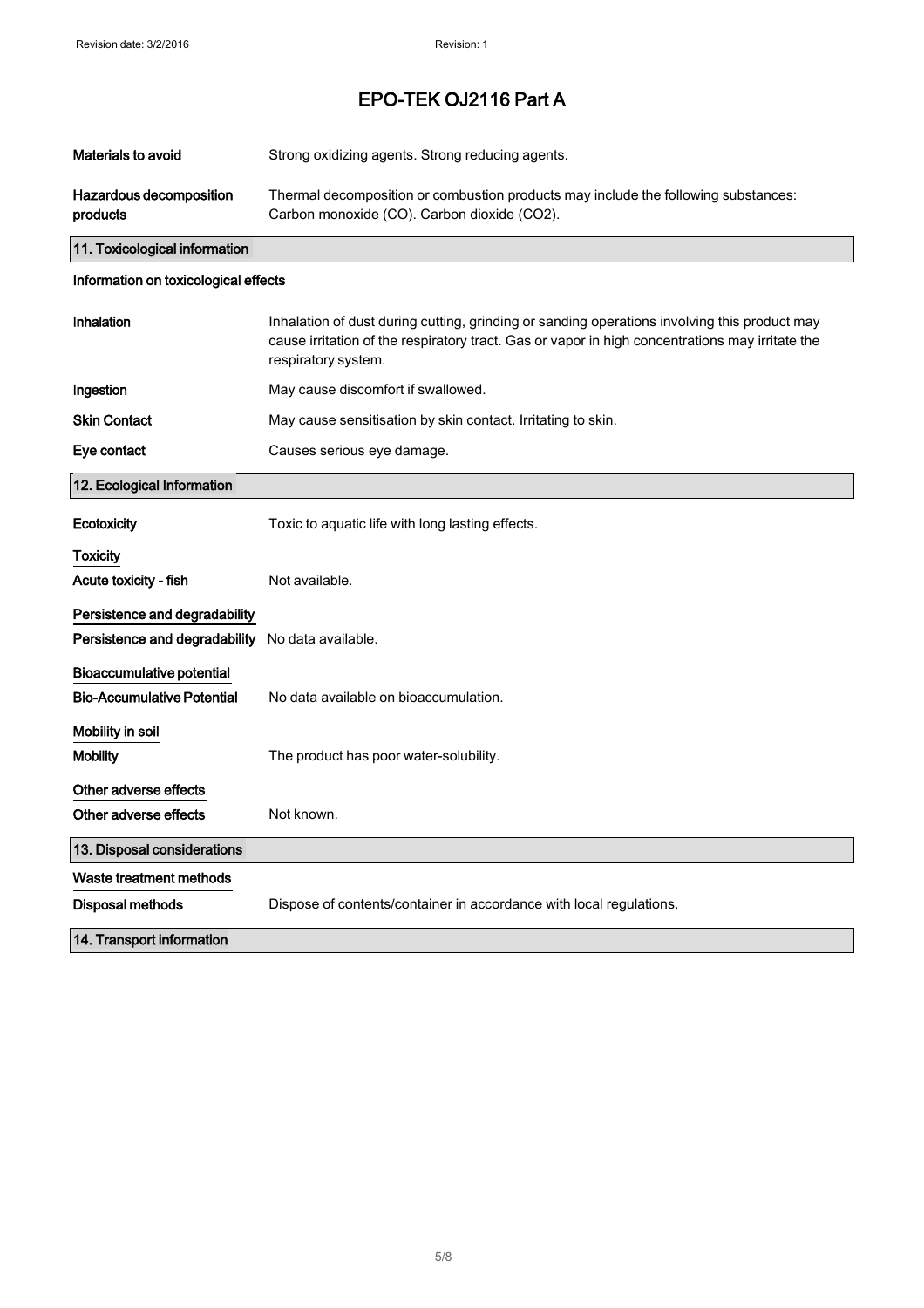| <b>Materials to avoid</b>                                      | Strong oxidizing agents. Strong reducing agents.                                                                                                                                                                       |
|----------------------------------------------------------------|------------------------------------------------------------------------------------------------------------------------------------------------------------------------------------------------------------------------|
| Hazardous decomposition<br>products                            | Thermal decomposition or combustion products may include the following substances:<br>Carbon monoxide (CO). Carbon dioxide (CO2).                                                                                      |
| 11. Toxicological information                                  |                                                                                                                                                                                                                        |
| Information on toxicological effects                           |                                                                                                                                                                                                                        |
| Inhalation                                                     | Inhalation of dust during cutting, grinding or sanding operations involving this product may<br>cause irritation of the respiratory tract. Gas or vapor in high concentrations may irritate the<br>respiratory system. |
| Ingestion                                                      | May cause discomfort if swallowed.                                                                                                                                                                                     |
| <b>Skin Contact</b>                                            | May cause sensitisation by skin contact. Irritating to skin.                                                                                                                                                           |
| Eye contact                                                    | Causes serious eye damage.                                                                                                                                                                                             |
| 12. Ecological Information                                     |                                                                                                                                                                                                                        |
| Ecotoxicity                                                    | Toxic to aquatic life with long lasting effects.                                                                                                                                                                       |
| Toxicity<br>Acute toxicity - fish                              | Not available.                                                                                                                                                                                                         |
| Persistence and degradability<br>Persistence and degradability | No data available.                                                                                                                                                                                                     |
| Bioaccumulative potential<br><b>Bio-Accumulative Potential</b> | No data available on bioaccumulation.                                                                                                                                                                                  |
| Mobility in soil<br><b>Mobility</b>                            | The product has poor water-solubility.                                                                                                                                                                                 |
| Other adverse effects<br>Other adverse effects                 | Not known.                                                                                                                                                                                                             |
| 13. Disposal considerations                                    |                                                                                                                                                                                                                        |
| Waste treatment methods                                        |                                                                                                                                                                                                                        |
| Disposal methods                                               | Dispose of contents/container in accordance with local regulations.                                                                                                                                                    |
| 14. Transport information                                      |                                                                                                                                                                                                                        |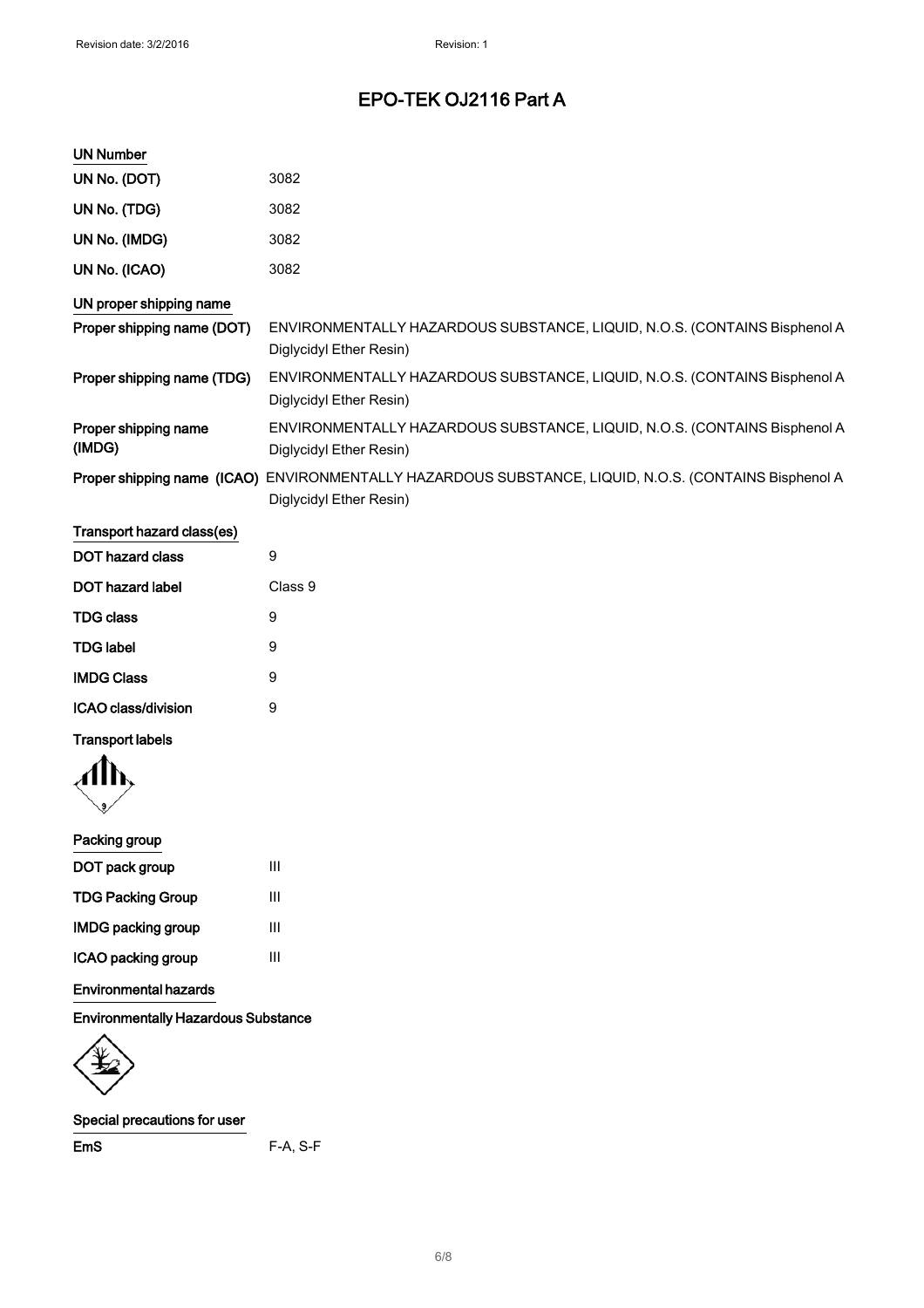| <b>UN Number</b>               |                                                                                                      |
|--------------------------------|------------------------------------------------------------------------------------------------------|
| UN No. (DOT)                   | 3082                                                                                                 |
| UN No. (TDG)                   | 3082                                                                                                 |
| UN No. (IMDG)                  | 3082                                                                                                 |
| UN No. (ICAO)                  | 3082                                                                                                 |
| UN proper shipping name        |                                                                                                      |
| Proper shipping name (DOT)     | ENVIRONMENTALLY HAZARDOUS SUBSTANCE, LIQUID, N.O.S. (CONTAINS Bisphenol A<br>Diglycidyl Ether Resin) |
| Proper shipping name (TDG)     | ENVIRONMENTALLY HAZARDOUS SUBSTANCE, LIQUID, N.O.S. (CONTAINS Bisphenol A<br>Diglycidyl Ether Resin) |
| Proper shipping name<br>(IMDG) | ENVIRONMENTALLY HAZARDOUS SUBSTANCE, LIQUID, N.O.S. (CONTAINS Bisphenol A<br>Diglycidyl Ether Resin) |
| Proper shipping name (ICAO)    | ENVIRONMENTALLY HAZARDOUS SUBSTANCE, LIQUID, N.O.S. (CONTAINS Bisphenol A<br>Diglycidyl Ether Resin) |
| Transport hazard class(es)     |                                                                                                      |
| DOT hazard class               | 9                                                                                                    |
| <b>DOT hazard label</b>        | Class 9                                                                                              |
| <b>TDG class</b>               | 9                                                                                                    |

| TDG class           | 9 |
|---------------------|---|
| TDG label           | 9 |
| <b>IMDG Class</b>   | 9 |
| ICAO class/division | 9 |
|                     |   |

## Transport labels

## Packing group

| DOT pack group            | Ш |
|---------------------------|---|
| <b>TDG Packing Group</b>  | ш |
| <b>IMDG packing group</b> | ш |
| ICAO packing group        | ш |

## Environmental hazards

Environmentally Hazardous Substance

## Special precautions for user

EmS F-A, S-F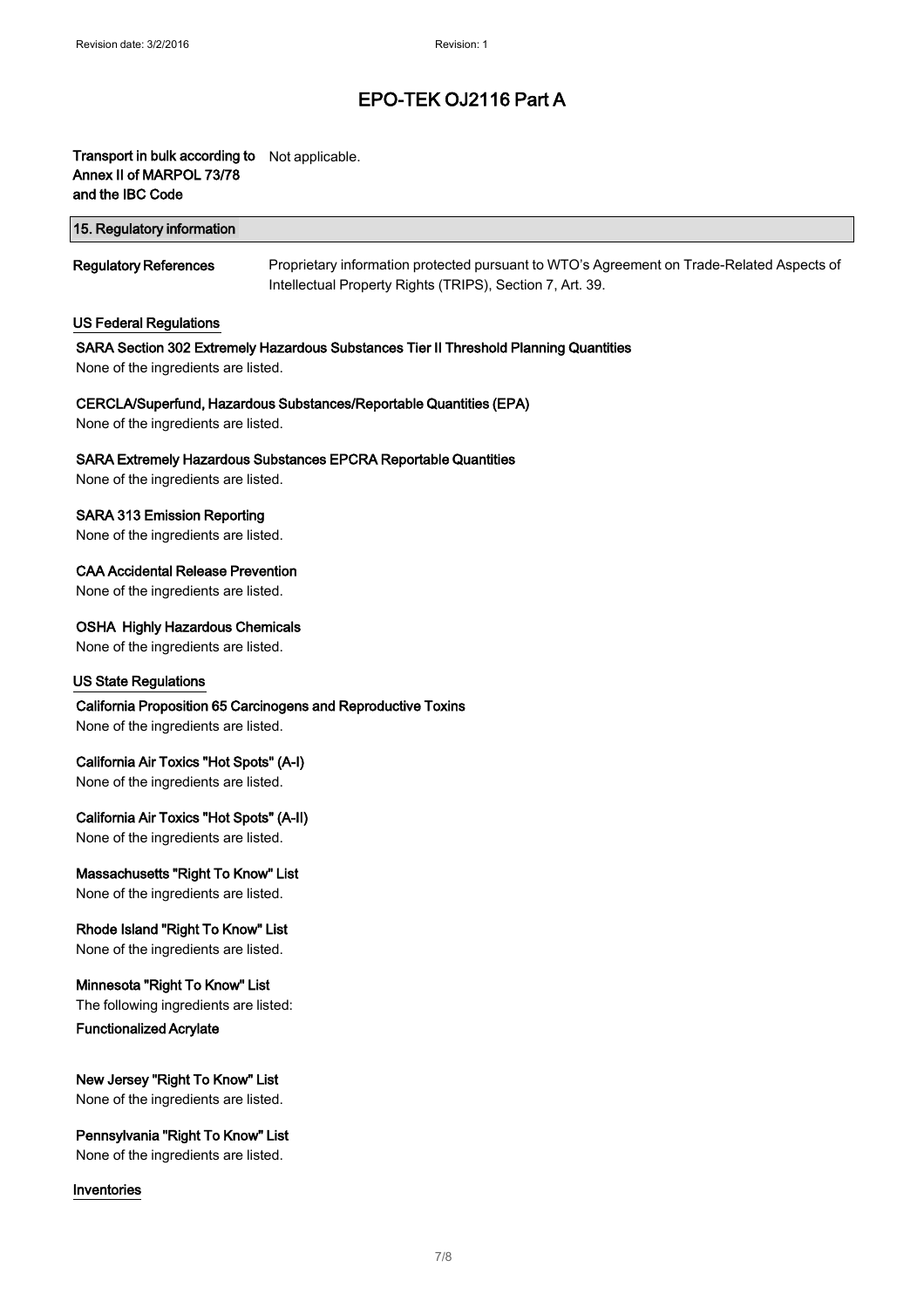## Transport in bulk according to Not applicable. Annex II of MARPOL 73/78 and the IBC Code

| 15. Regulatory information   |                                                                                           |
|------------------------------|-------------------------------------------------------------------------------------------|
| <b>Regulatory References</b> | Proprietary information protected pursuant to WTO's Agreement on Trade-Related Aspects of |

Intellectual Property Rights (TRIPS), Section 7, Art. 39.

US Federal Regulations

## SARA Section 302 Extremely Hazardous Substances Tier II Threshold Planning Quantities

None of the ingredients are listed.

## CERCLA/Superfund, Hazardous Substances/Reportable Quantities (EPA)

None of the ingredients are listed.

## SARA Extremely Hazardous Substances EPCRA Reportable Quantities

None of the ingredients are listed.

## SARA 313 Emission Reporting

None of the ingredients are listed.

## CAA Accidental Release Prevention

None of the ingredients are listed.

## OSHA Highly Hazardous Chemicals

None of the ingredients are listed.

## US State Regulations

## California Proposition 65 Carcinogens and Reproductive Toxins

None of the ingredients are listed.

## California Air Toxics "Hot Spots" (A-I)

None of the ingredients are listed.

## California Air Toxics "Hot Spots" (A-II)

None of the ingredients are listed.

## Massachusetts "Right To Know" List

None of the ingredients are listed.

## Rhode Island "Right To Know" List

None of the ingredients are listed.

## Minnesota "Right To Know" List

The following ingredients are listed: Functionalized Acrylate

## New Jersey "Right To Know" List

None of the ingredients are listed.

## Pennsylvania "Right To Know" List

None of the ingredients are listed.

## Inventories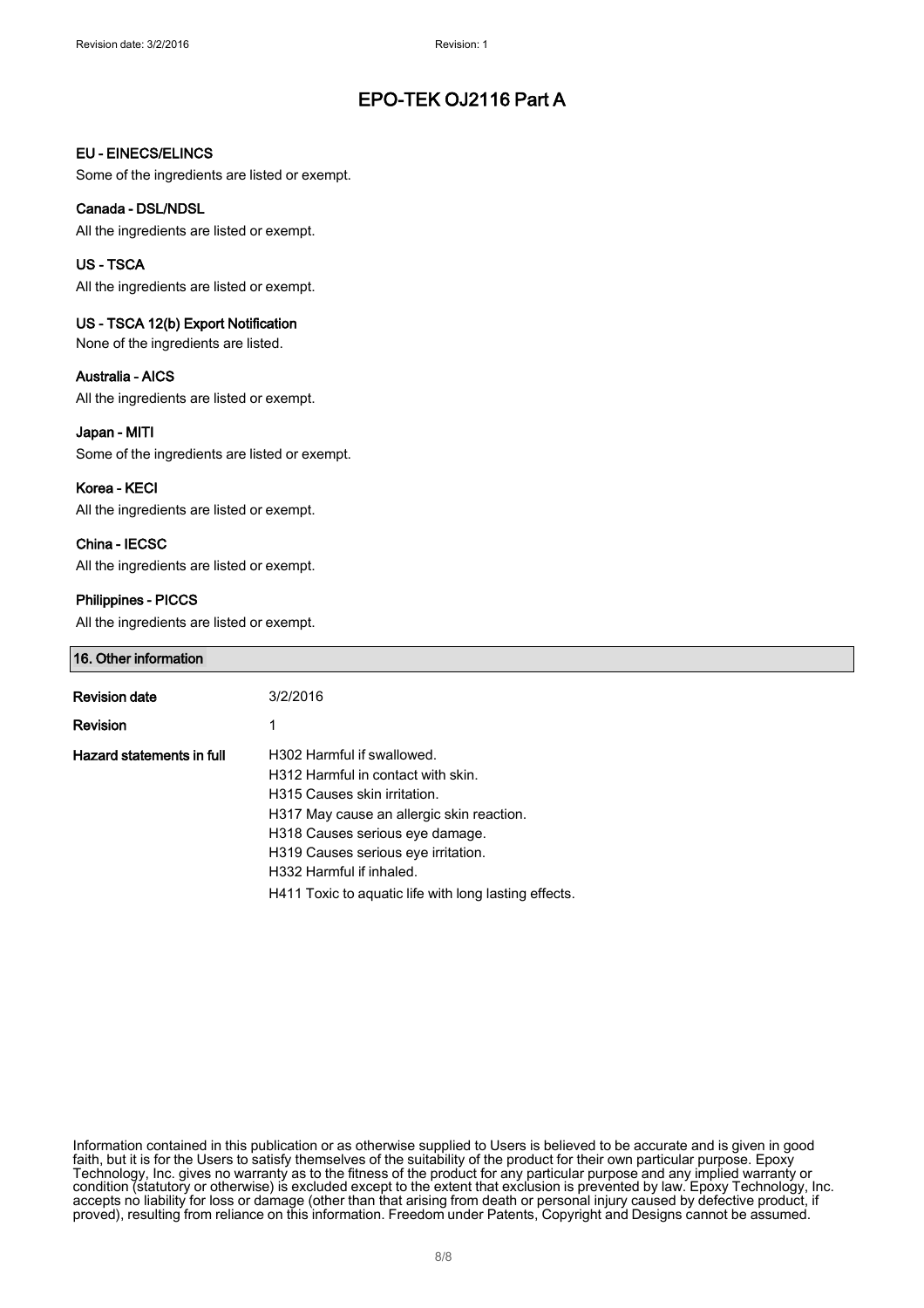## EU - EINECS/ELINCS

Some of the ingredients are listed or exempt.

### Canada - DSL/NDSL

All the ingredients are listed or exempt.

### US - TSCA

All the ingredients are listed or exempt.

## US - TSCA 12(b) Export Notification

None of the ingredients are listed.

## Australia - AICS

All the ingredients are listed or exempt.

### Japan - MITI

Some of the ingredients are listed or exempt.

Korea - KECI All the ingredients are listed or exempt.

## China - IECSC

All the ingredients are listed or exempt.

## Philippines - PICCS

All the ingredients are listed or exempt.

## 16. Other information

| <b>Revision date</b>      | 3/2/2016                                                                          |
|---------------------------|-----------------------------------------------------------------------------------|
| <b>Revision</b>           |                                                                                   |
| Hazard statements in full | H302 Harmful if swallowed.<br>H312 Harmful in contact with skin.                  |
|                           | H315 Causes skin irritation.<br>H317 May cause an allergic skin reaction.         |
|                           | H318 Causes serious eye damage.<br>H319 Causes serious eye irritation.            |
|                           | H332 Harmful if inhaled.<br>H411 Toxic to aquatic life with long lasting effects. |
|                           |                                                                                   |

Information contained in this publication or as otherwise supplied to Users is believed to be accurate and is given in good faith, but it is for the Users to satisfy themselves of the suitability of the product for their own particular purpose. Epoxy Technology, Inc. gives no warranty as to the fitness of the product for any particular purpose and any implied warranty or condition (statutory or otherwise) is excluded except to the extent that exclusion is prevented by law. Epoxy Technology, Inc. accepts no liability for loss or damage (other than that arising from death or personal injury caused by defective product, if proved), resulting from reliance on this information. Freedom under Patents, Copyright and Designs cannot be assumed.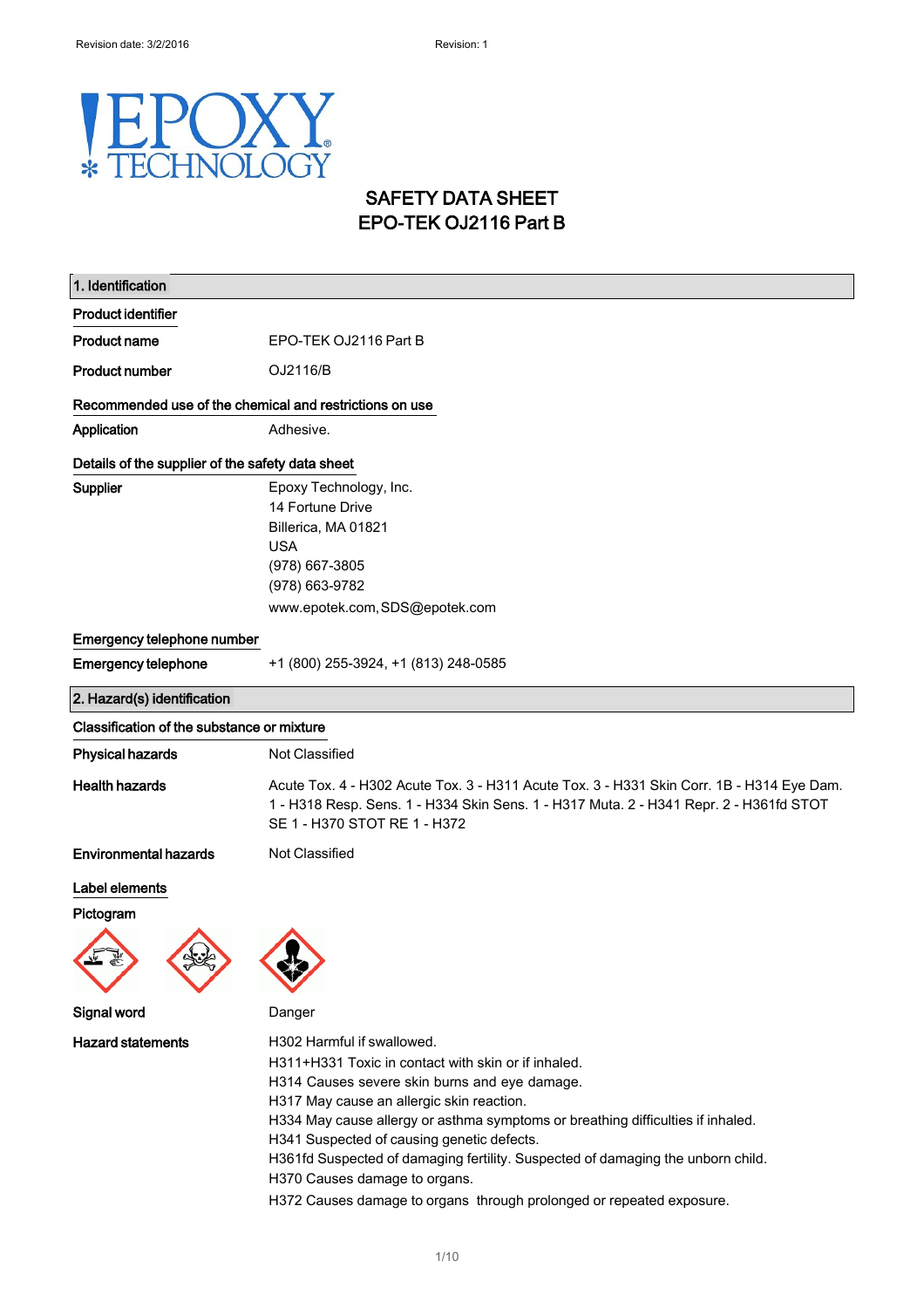#### E Y  $\bigcap$ HNOLO OGY  $\ast$ H

## SAFETY DATA SHEET EPO-TEK OJ2116 Part B

| 1. Identification                                       |                                                                                                                                                                                                                                                                                                                                                                                                                                                                                                              |  |
|---------------------------------------------------------|--------------------------------------------------------------------------------------------------------------------------------------------------------------------------------------------------------------------------------------------------------------------------------------------------------------------------------------------------------------------------------------------------------------------------------------------------------------------------------------------------------------|--|
| <b>Product identifier</b>                               |                                                                                                                                                                                                                                                                                                                                                                                                                                                                                                              |  |
| <b>Product name</b>                                     | EPO-TEK OJ2116 Part B                                                                                                                                                                                                                                                                                                                                                                                                                                                                                        |  |
| <b>Product number</b>                                   | OJ2116/B                                                                                                                                                                                                                                                                                                                                                                                                                                                                                                     |  |
| Recommended use of the chemical and restrictions on use |                                                                                                                                                                                                                                                                                                                                                                                                                                                                                                              |  |
| Application                                             | Adhesive.                                                                                                                                                                                                                                                                                                                                                                                                                                                                                                    |  |
| Details of the supplier of the safety data sheet        |                                                                                                                                                                                                                                                                                                                                                                                                                                                                                                              |  |
| Supplier                                                | Epoxy Technology, Inc.<br>14 Fortune Drive<br>Billerica, MA 01821<br><b>USA</b><br>(978) 667-3805<br>(978) 663-9782                                                                                                                                                                                                                                                                                                                                                                                          |  |
|                                                         | www.epotek.com, SDS@epotek.com                                                                                                                                                                                                                                                                                                                                                                                                                                                                               |  |
| Emergency telephone number                              |                                                                                                                                                                                                                                                                                                                                                                                                                                                                                                              |  |
| <b>Emergency telephone</b>                              | +1 (800) 255-3924, +1 (813) 248-0585                                                                                                                                                                                                                                                                                                                                                                                                                                                                         |  |
| 2. Hazard(s) identification                             |                                                                                                                                                                                                                                                                                                                                                                                                                                                                                                              |  |
| Classification of the substance or mixture              |                                                                                                                                                                                                                                                                                                                                                                                                                                                                                                              |  |
| <b>Physical hazards</b>                                 | Not Classified                                                                                                                                                                                                                                                                                                                                                                                                                                                                                               |  |
| <b>Health hazards</b>                                   | Acute Tox. 4 - H302 Acute Tox. 3 - H311 Acute Tox. 3 - H331 Skin Corr. 1B - H314 Eye Dam.<br>1 - H318 Resp. Sens. 1 - H334 Skin Sens. 1 - H317 Muta. 2 - H341 Repr. 2 - H361fd STOT<br>SE 1 - H370 STOT RE 1 - H372                                                                                                                                                                                                                                                                                          |  |
| <b>Environmental hazards</b>                            | Not Classified                                                                                                                                                                                                                                                                                                                                                                                                                                                                                               |  |
| Label elements<br>Pictogram                             |                                                                                                                                                                                                                                                                                                                                                                                                                                                                                                              |  |
| Signal word                                             | Danger                                                                                                                                                                                                                                                                                                                                                                                                                                                                                                       |  |
| <b>Hazard statements</b>                                | H302 Harmful if swallowed.<br>H311+H331 Toxic in contact with skin or if inhaled.<br>H314 Causes severe skin burns and eye damage.<br>H317 May cause an allergic skin reaction.<br>H334 May cause allergy or asthma symptoms or breathing difficulties if inhaled.<br>H341 Suspected of causing genetic defects.<br>H361fd Suspected of damaging fertility. Suspected of damaging the unborn child.<br>H370 Causes damage to organs.<br>H372 Causes damage to organs through prolonged or repeated exposure. |  |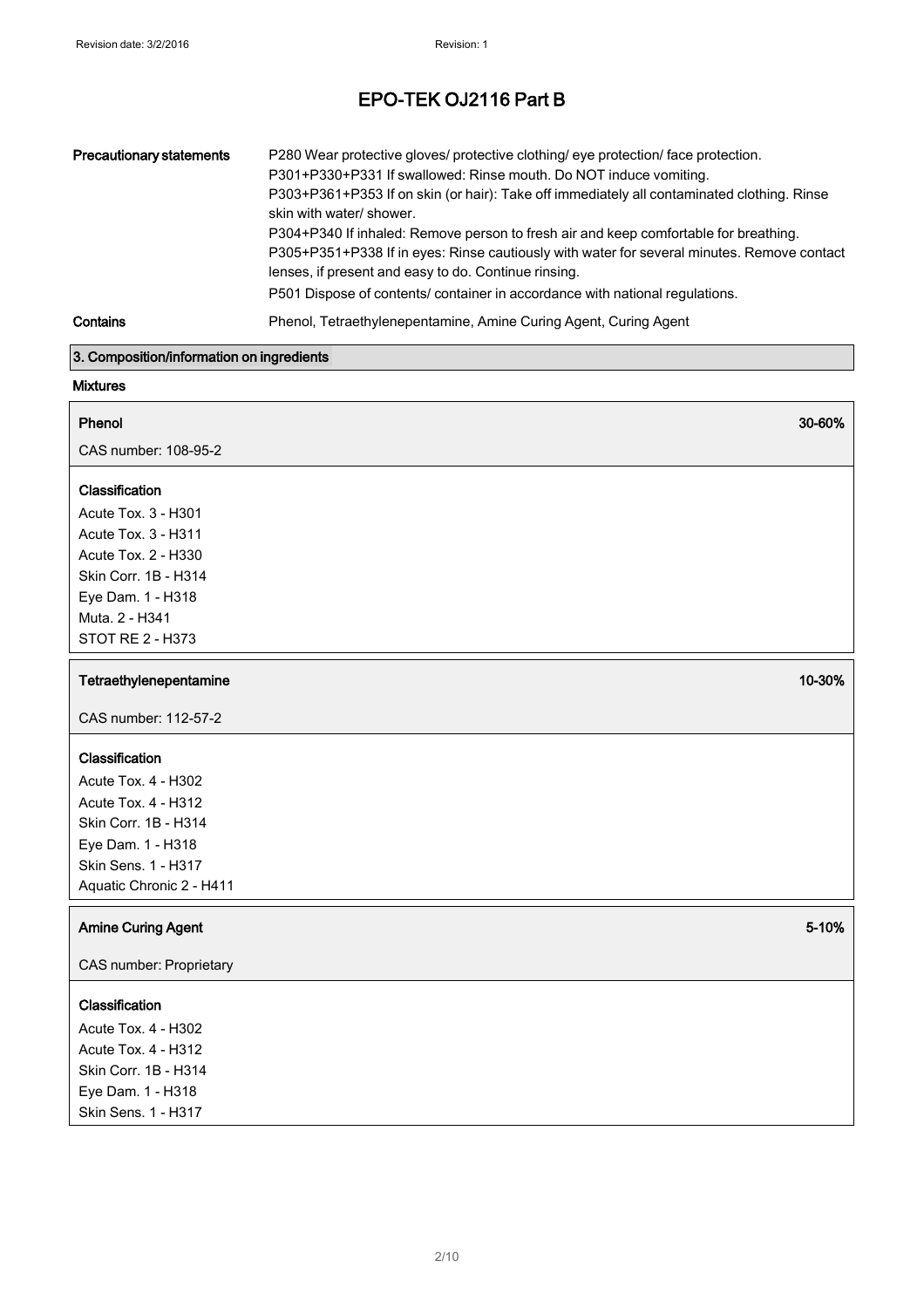| <b>Precautionary statements</b> | P280 Wear protective gloves/ protective clothing/ eye protection/ face protection.<br>P301+P330+P331 If swallowed: Rinse mouth. Do NOT induce vomiting.<br>P303+P361+P353 If on skin (or hair): Take off immediately all contaminated clothing. Rinse<br>skin with water/ shower.<br>P304+P340 If inhaled: Remove person to fresh air and keep comfortable for breathing.<br>P305+P351+P338 If in eyes: Rinse cautiously with water for several minutes. Remove contact<br>lenses, if present and easy to do. Continue rinsing.<br>P501 Dispose of contents/ container in accordance with national regulations. |
|---------------------------------|-----------------------------------------------------------------------------------------------------------------------------------------------------------------------------------------------------------------------------------------------------------------------------------------------------------------------------------------------------------------------------------------------------------------------------------------------------------------------------------------------------------------------------------------------------------------------------------------------------------------|
| Contains                        | Phenol, Tetraethylenepentamine, Amine Curing Agent, Curing Agent                                                                                                                                                                                                                                                                                                                                                                                                                                                                                                                                                |

Phenol 30-60%

### 3. Composition/information on ingredients

## Mixtures

CAS number: 108-95-2

## Classification

Acute Tox. 3 - H301 Acute Tox. 3 - H311 Acute Tox. 2 - H330 Skin Corr. 1B - H314 Eye Dam. 1 - H318 Muta. 2 - H341 STOT RE 2 - H373

## Tetraethylenepentamine 10-30%

CAS number: 112-57-2

## Classification

Acute Tox. 4 - H302 Acute Tox. 4 - H312 Skin Corr. 1B - H314 Eye Dam. 1 - H318 Skin Sens. 1 - H317 Aquatic Chronic 2 - H411

## Amine Curing Agent 5-10%

CAS number: Proprietary

## **Classification**

Acute Tox. 4 - H302 Acute Tox. 4 - H312 Skin Corr. 1B - H314 Eye Dam. 1 - H318 Skin Sens. 1 - H317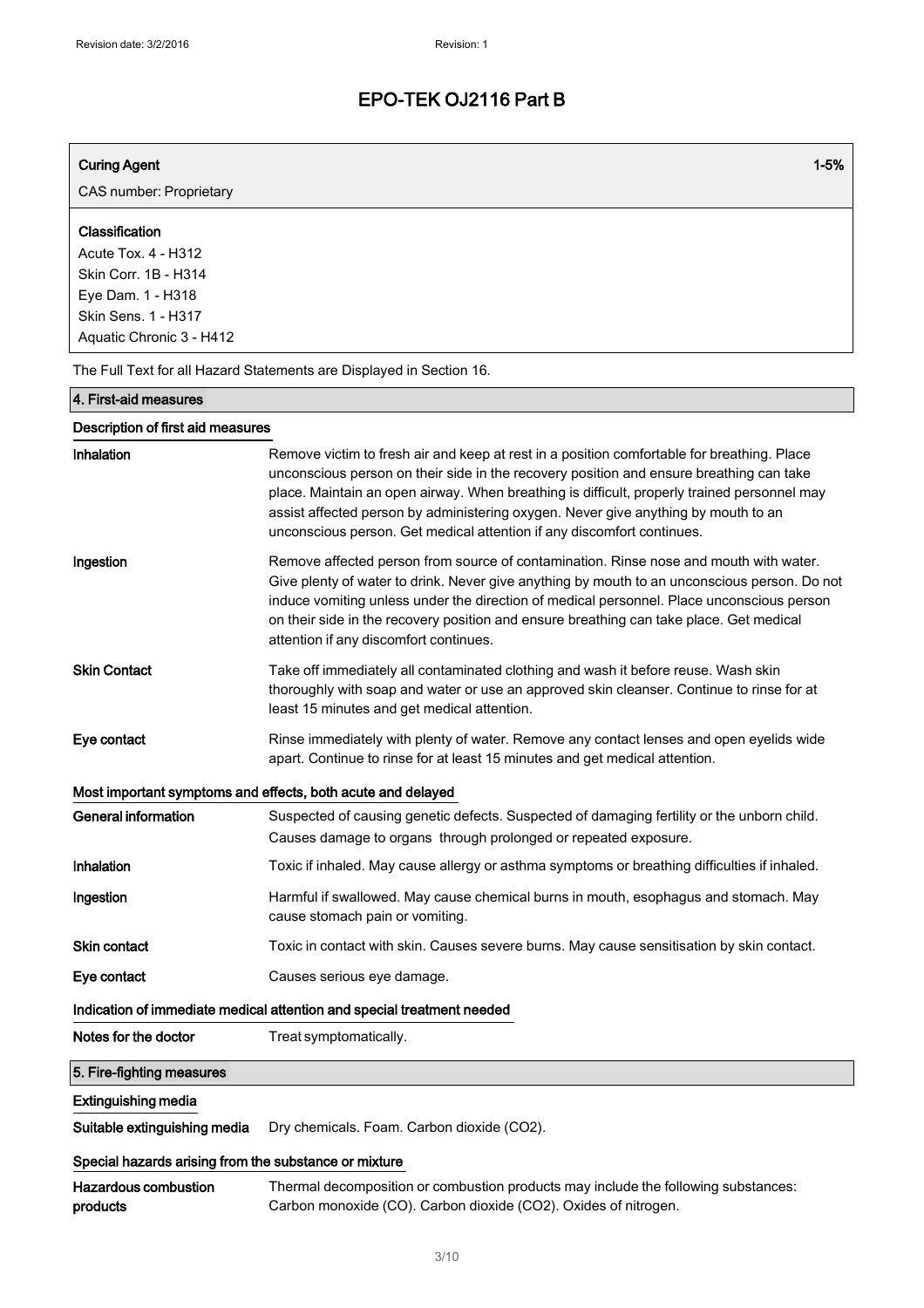| <b>Curing Agent</b>                                                                                                                          | $1 - 5%$                                                                                                                                                                                                                                                                                                                                                                                                                                             |
|----------------------------------------------------------------------------------------------------------------------------------------------|------------------------------------------------------------------------------------------------------------------------------------------------------------------------------------------------------------------------------------------------------------------------------------------------------------------------------------------------------------------------------------------------------------------------------------------------------|
| CAS number: Proprietary                                                                                                                      |                                                                                                                                                                                                                                                                                                                                                                                                                                                      |
| Classification<br><b>Acute Tox. 4 - H312</b><br>Skin Corr. 1B - H314<br>Eye Dam. 1 - H318<br>Skin Sens. 1 - H317<br>Aquatic Chronic 3 - H412 |                                                                                                                                                                                                                                                                                                                                                                                                                                                      |
|                                                                                                                                              | The Full Text for all Hazard Statements are Displayed in Section 16.                                                                                                                                                                                                                                                                                                                                                                                 |
| 4. First-aid measures                                                                                                                        |                                                                                                                                                                                                                                                                                                                                                                                                                                                      |
| Description of first aid measures                                                                                                            |                                                                                                                                                                                                                                                                                                                                                                                                                                                      |
| Inhalation                                                                                                                                   | Remove victim to fresh air and keep at rest in a position comfortable for breathing. Place<br>unconscious person on their side in the recovery position and ensure breathing can take<br>place. Maintain an open airway. When breathing is difficult, properly trained personnel may<br>assist affected person by administering oxygen. Never give anything by mouth to an<br>unconscious person. Get medical attention if any discomfort continues. |
| Ingestion                                                                                                                                    | Remove affected person from source of contamination. Rinse nose and mouth with water.<br>Give plenty of water to drink. Never give anything by mouth to an unconscious person. Do not<br>induce vomiting unless under the direction of medical personnel. Place unconscious person<br>on their side in the recovery position and ensure breathing can take place. Get medical<br>attention if any discomfort continues.                              |
| <b>Skin Contact</b>                                                                                                                          | Take off immediately all contaminated clothing and wash it before reuse. Wash skin<br>thoroughly with soap and water or use an approved skin cleanser. Continue to rinse for at<br>least 15 minutes and get medical attention.                                                                                                                                                                                                                       |
| Eye contact                                                                                                                                  | Rinse immediately with plenty of water. Remove any contact lenses and open eyelids wide<br>apart. Continue to rinse for at least 15 minutes and get medical attention.                                                                                                                                                                                                                                                                               |
|                                                                                                                                              | Most important symptoms and effects, both acute and delayed                                                                                                                                                                                                                                                                                                                                                                                          |
| <b>General information</b>                                                                                                                   | Suspected of causing genetic defects. Suspected of damaging fertility or the unborn child.<br>Causes damage to organs through prolonged or repeated exposure.                                                                                                                                                                                                                                                                                        |
| Inhalation                                                                                                                                   | Toxic if inhaled. May cause allergy or asthma symptoms or breathing difficulties if inhaled.                                                                                                                                                                                                                                                                                                                                                         |
| Ingestion                                                                                                                                    | Harmful if swallowed. May cause chemical burns in mouth, esophagus and stomach. May<br>cause stomach pain or vomiting.                                                                                                                                                                                                                                                                                                                               |
| <b>Skin contact</b>                                                                                                                          | Toxic in contact with skin. Causes severe burns. May cause sensitisation by skin contact.                                                                                                                                                                                                                                                                                                                                                            |
| Eye contact                                                                                                                                  | Causes serious eye damage.                                                                                                                                                                                                                                                                                                                                                                                                                           |
|                                                                                                                                              | Indication of immediate medical attention and special treatment needed                                                                                                                                                                                                                                                                                                                                                                               |
| Notes for the doctor                                                                                                                         | Treat symptomatically.                                                                                                                                                                                                                                                                                                                                                                                                                               |
| 5. Fire-fighting measures                                                                                                                    |                                                                                                                                                                                                                                                                                                                                                                                                                                                      |
| <b>Extinguishing media</b>                                                                                                                   |                                                                                                                                                                                                                                                                                                                                                                                                                                                      |
| Suitable extinguishing media                                                                                                                 | Dry chemicals. Foam. Carbon dioxide (CO2).                                                                                                                                                                                                                                                                                                                                                                                                           |
| Special hazards arising from the substance or mixture                                                                                        |                                                                                                                                                                                                                                                                                                                                                                                                                                                      |
| <b>Hazardous combustion</b><br>products                                                                                                      | Thermal decomposition or combustion products may include the following substances:<br>Carbon monoxide (CO). Carbon dioxide (CO2). Oxides of nitrogen.                                                                                                                                                                                                                                                                                                |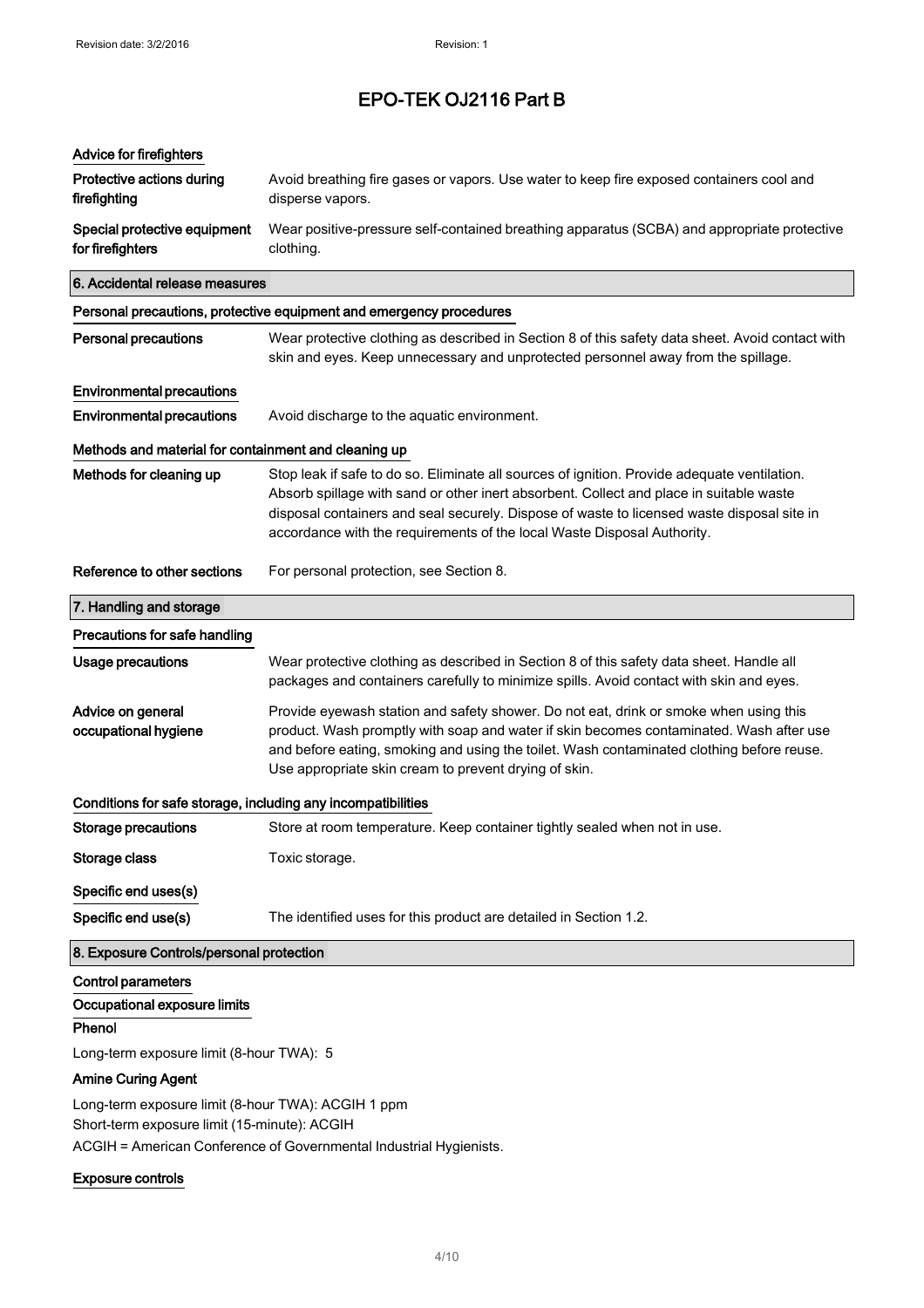| Advice for firefighters                                      |                                                                                                                                                                                                                                                                                                                                                                  |
|--------------------------------------------------------------|------------------------------------------------------------------------------------------------------------------------------------------------------------------------------------------------------------------------------------------------------------------------------------------------------------------------------------------------------------------|
| Protective actions during<br>firefighting                    | Avoid breathing fire gases or vapors. Use water to keep fire exposed containers cool and<br>disperse vapors.                                                                                                                                                                                                                                                     |
| Special protective equipment<br>for firefighters             | Wear positive-pressure self-contained breathing apparatus (SCBA) and appropriate protective<br>clothing.                                                                                                                                                                                                                                                         |
| 6. Accidental release measures                               |                                                                                                                                                                                                                                                                                                                                                                  |
|                                                              | Personal precautions, protective equipment and emergency procedures                                                                                                                                                                                                                                                                                              |
| <b>Personal precautions</b>                                  | Wear protective clothing as described in Section 8 of this safety data sheet. Avoid contact with<br>skin and eyes. Keep unnecessary and unprotected personnel away from the spillage.                                                                                                                                                                            |
| <b>Environmental precautions</b>                             |                                                                                                                                                                                                                                                                                                                                                                  |
| <b>Environmental precautions</b>                             | Avoid discharge to the aquatic environment.                                                                                                                                                                                                                                                                                                                      |
| Methods and material for containment and cleaning up         |                                                                                                                                                                                                                                                                                                                                                                  |
| Methods for cleaning up                                      | Stop leak if safe to do so. Eliminate all sources of ignition. Provide adequate ventilation.<br>Absorb spillage with sand or other inert absorbent. Collect and place in suitable waste<br>disposal containers and seal securely. Dispose of waste to licensed waste disposal site in<br>accordance with the requirements of the local Waste Disposal Authority. |
| Reference to other sections                                  | For personal protection, see Section 8.                                                                                                                                                                                                                                                                                                                          |
| 7. Handling and storage                                      |                                                                                                                                                                                                                                                                                                                                                                  |
| Precautions for safe handling                                |                                                                                                                                                                                                                                                                                                                                                                  |
| <b>Usage precautions</b>                                     | Wear protective clothing as described in Section 8 of this safety data sheet. Handle all<br>packages and containers carefully to minimize spills. Avoid contact with skin and eyes.                                                                                                                                                                              |
| Advice on general<br>occupational hygiene                    | Provide eyewash station and safety shower. Do not eat, drink or smoke when using this<br>product. Wash promptly with soap and water if skin becomes contaminated. Wash after use<br>and before eating, smoking and using the toilet. Wash contaminated clothing before reuse.<br>Use appropriate skin cream to prevent drying of skin.                           |
| Conditions for safe storage, including any incompatibilities |                                                                                                                                                                                                                                                                                                                                                                  |
| <b>Storage precautions</b>                                   | Store at room temperature. Keep container tightly sealed when not in use.                                                                                                                                                                                                                                                                                        |
| Storage class                                                | Toxic storage.                                                                                                                                                                                                                                                                                                                                                   |
| Specific end uses(s)                                         |                                                                                                                                                                                                                                                                                                                                                                  |
| Specific end use(s)                                          | The identified uses for this product are detailed in Section 1.2.                                                                                                                                                                                                                                                                                                |
| 8. Exposure Controls/personal protection                     |                                                                                                                                                                                                                                                                                                                                                                  |
| <b>Control parameters</b>                                    |                                                                                                                                                                                                                                                                                                                                                                  |
| Occupational exposure limits                                 |                                                                                                                                                                                                                                                                                                                                                                  |
| Phenol                                                       |                                                                                                                                                                                                                                                                                                                                                                  |
| Long-term exposure limit (8-hour TWA): 5                     |                                                                                                                                                                                                                                                                                                                                                                  |

## Amine Curing Agent

Long-term exposure limit (8-hour TWA): ACGIH 1 ppm Short-term exposure limit (15-minute): ACGIH ACGIH = American Conference of Governmental Industrial Hygienists.

## Exposure controls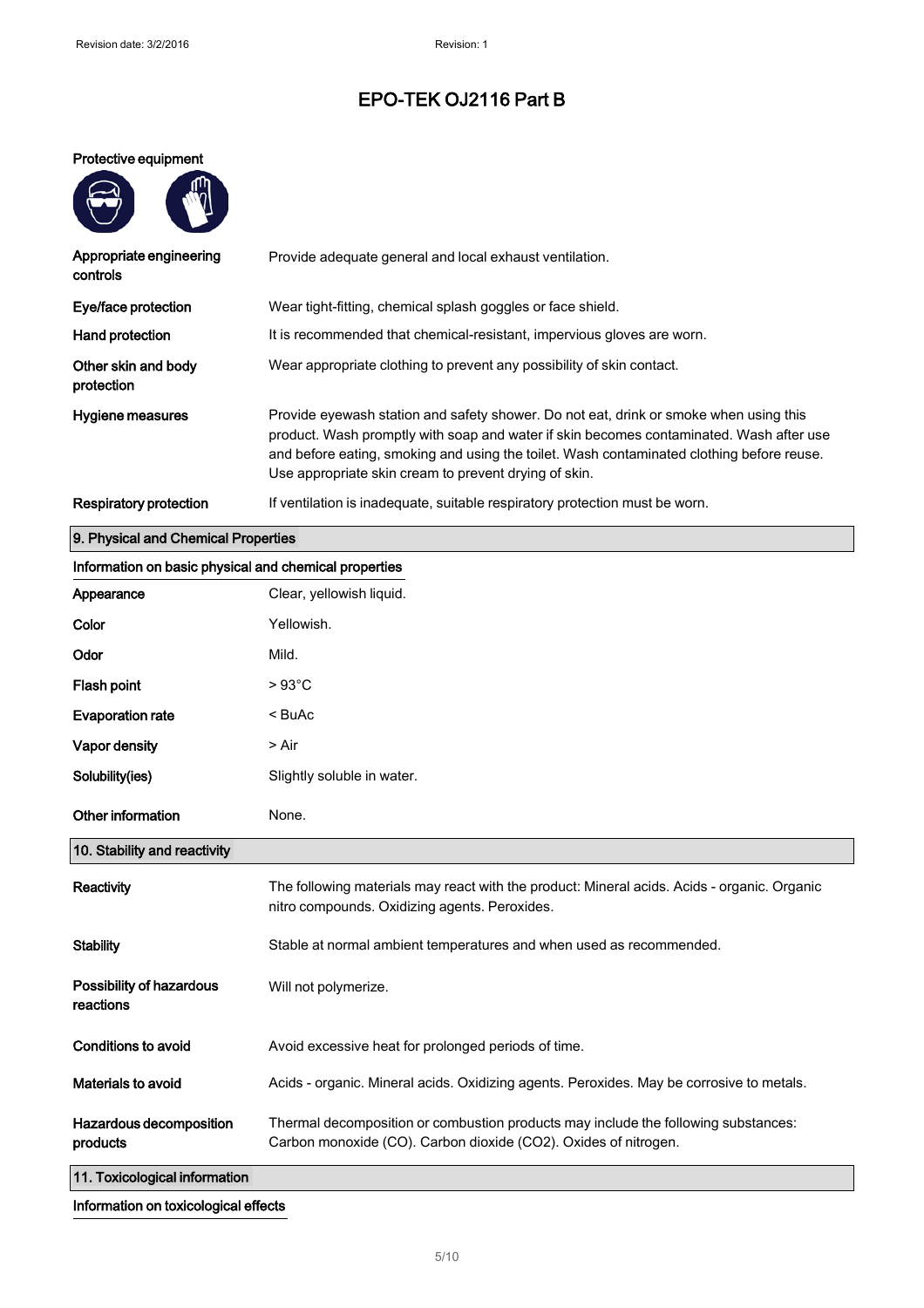## Protective equipment

 $m$ 

| Appropriate engineering<br>controls | Provide adequate general and local exhaust ventilation.                                                                                                                                                                                                                                                                                |
|-------------------------------------|----------------------------------------------------------------------------------------------------------------------------------------------------------------------------------------------------------------------------------------------------------------------------------------------------------------------------------------|
| Eye/face protection                 | Wear tight-fitting, chemical splash goggles or face shield.                                                                                                                                                                                                                                                                            |
| Hand protection                     | It is recommended that chemical-resistant, impervious gloves are worn.                                                                                                                                                                                                                                                                 |
| Other skin and body<br>protection   | Wear appropriate clothing to prevent any possibility of skin contact.                                                                                                                                                                                                                                                                  |
| Hygiene measures                    | Provide eyewash station and safety shower. Do not eat, drink or smoke when using this<br>product. Wash promptly with soap and water if skin becomes contaminated. Wash after use<br>and before eating, smoking and using the toilet. Wash contaminated clothing before reuse.<br>Use appropriate skin cream to prevent drying of skin. |
| Respiratory protection              | If ventilation is inadequate, suitable respiratory protection must be worn.                                                                                                                                                                                                                                                            |

# Information on basic physical and chemical properties Appearance Clear, yellowish liquid. Color **Yellowish**. Odor Mild. Flash point  $> 93^{\circ}$ C Evaporation rate < BuAc Vapor density **being a set of the Second Second**  $>$  Air Solubility(ies) Slightly soluble in water. Other information None. Reactivity The following materials may react with the product: Mineral acids. Acids - organic. Organic nitro compounds. Oxidizing agents. Peroxides. Stability Stable at normal ambient temperatures and when used as recommended. Possibility of hazardous reactions Will not polymerize. Conditions to avoid **Avoid excessive heat for prolonged periods of time.** Materials to avoid **Acids - organic. Mineral acids. Oxidizing agents. Peroxides. May be corrosive to metals.** Hazardous decomposition products Thermal decomposition or combustion products may include the following substances: Carbon monoxide (CO). Carbon dioxide (CO2). Oxides of nitrogen. 11. Toxicological information 10. Stability and reactivity 9. Physical and Chemical Properties

Information on toxicological effects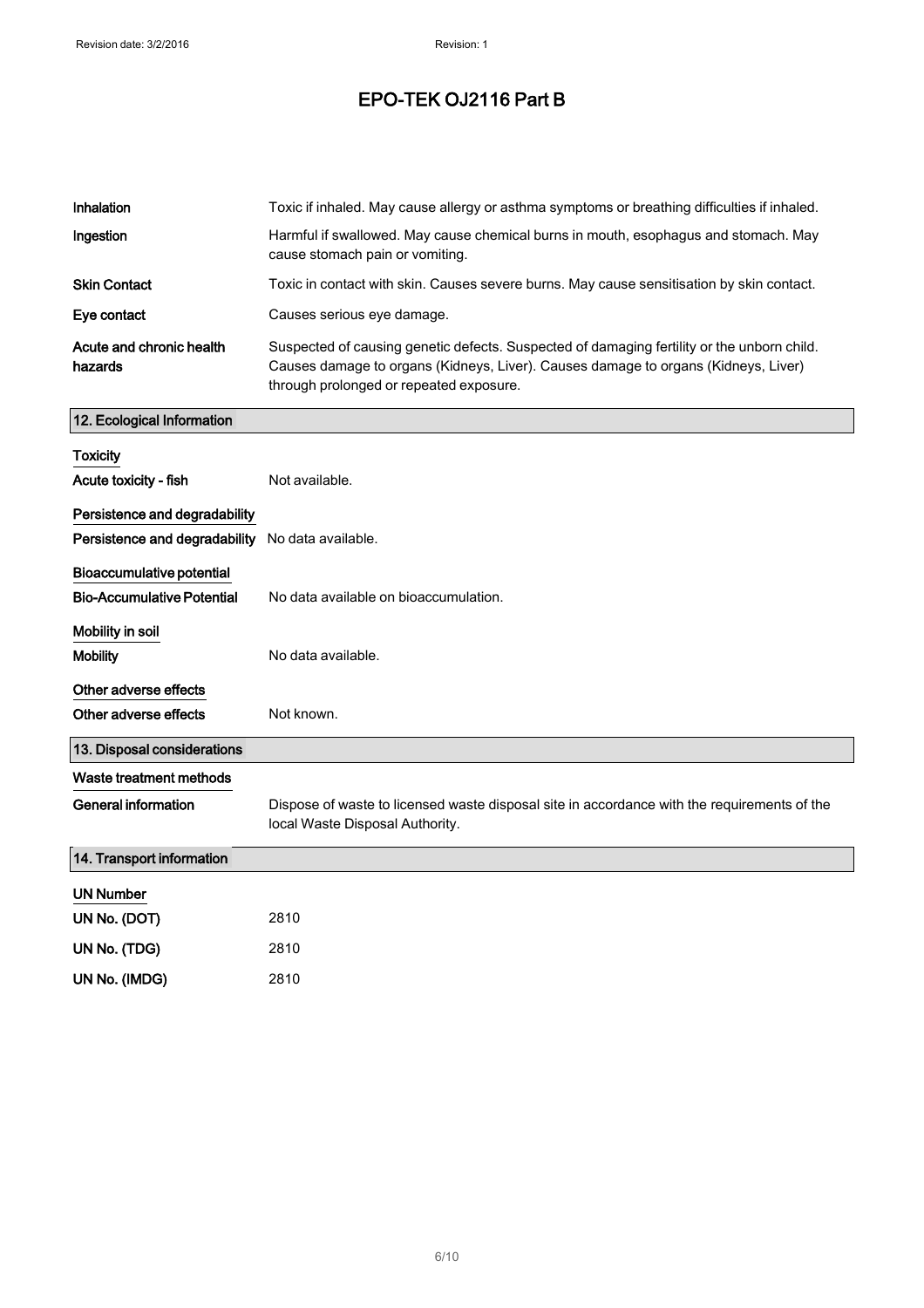| Inhalation                                       | Toxic if inhaled. May cause allergy or asthma symptoms or breathing difficulties if inhaled.                                                                                                                                |
|--------------------------------------------------|-----------------------------------------------------------------------------------------------------------------------------------------------------------------------------------------------------------------------------|
| Ingestion                                        | Harmful if swallowed. May cause chemical burns in mouth, esophagus and stomach. May<br>cause stomach pain or vomiting.                                                                                                      |
| <b>Skin Contact</b>                              | Toxic in contact with skin. Causes severe burns. May cause sensitisation by skin contact.                                                                                                                                   |
| Eye contact                                      | Causes serious eye damage.                                                                                                                                                                                                  |
| Acute and chronic health<br>hazards              | Suspected of causing genetic defects. Suspected of damaging fertility or the unborn child.<br>Causes damage to organs (Kidneys, Liver). Causes damage to organs (Kidneys, Liver)<br>through prolonged or repeated exposure. |
| 12. Ecological Information                       |                                                                                                                                                                                                                             |
| <b>Toxicity</b>                                  |                                                                                                                                                                                                                             |
| Acute toxicity - fish                            | Not available.                                                                                                                                                                                                              |
| Persistence and degradability                    |                                                                                                                                                                                                                             |
| Persistence and degradability No data available. |                                                                                                                                                                                                                             |
| Bioaccumulative potential                        |                                                                                                                                                                                                                             |
| <b>Bio-Accumulative Potential</b>                | No data available on bioaccumulation.                                                                                                                                                                                       |
| Mobility in soil                                 |                                                                                                                                                                                                                             |
| <b>Mobility</b>                                  | No data available.                                                                                                                                                                                                          |
| Other adverse effects                            |                                                                                                                                                                                                                             |
| Other adverse effects                            | Not known.                                                                                                                                                                                                                  |
| 13. Disposal considerations                      |                                                                                                                                                                                                                             |
| Waste treatment methods                          |                                                                                                                                                                                                                             |
| <b>General information</b>                       | Dispose of waste to licensed waste disposal site in accordance with the requirements of the<br>local Waste Disposal Authority.                                                                                              |
| 14. Transport information                        |                                                                                                                                                                                                                             |
| <b>UN Number</b>                                 |                                                                                                                                                                                                                             |
| UN No. (DOT)                                     | 2810                                                                                                                                                                                                                        |
| UN No. (TDG)                                     | 2810                                                                                                                                                                                                                        |
| UN No. (IMDG)                                    | 2810                                                                                                                                                                                                                        |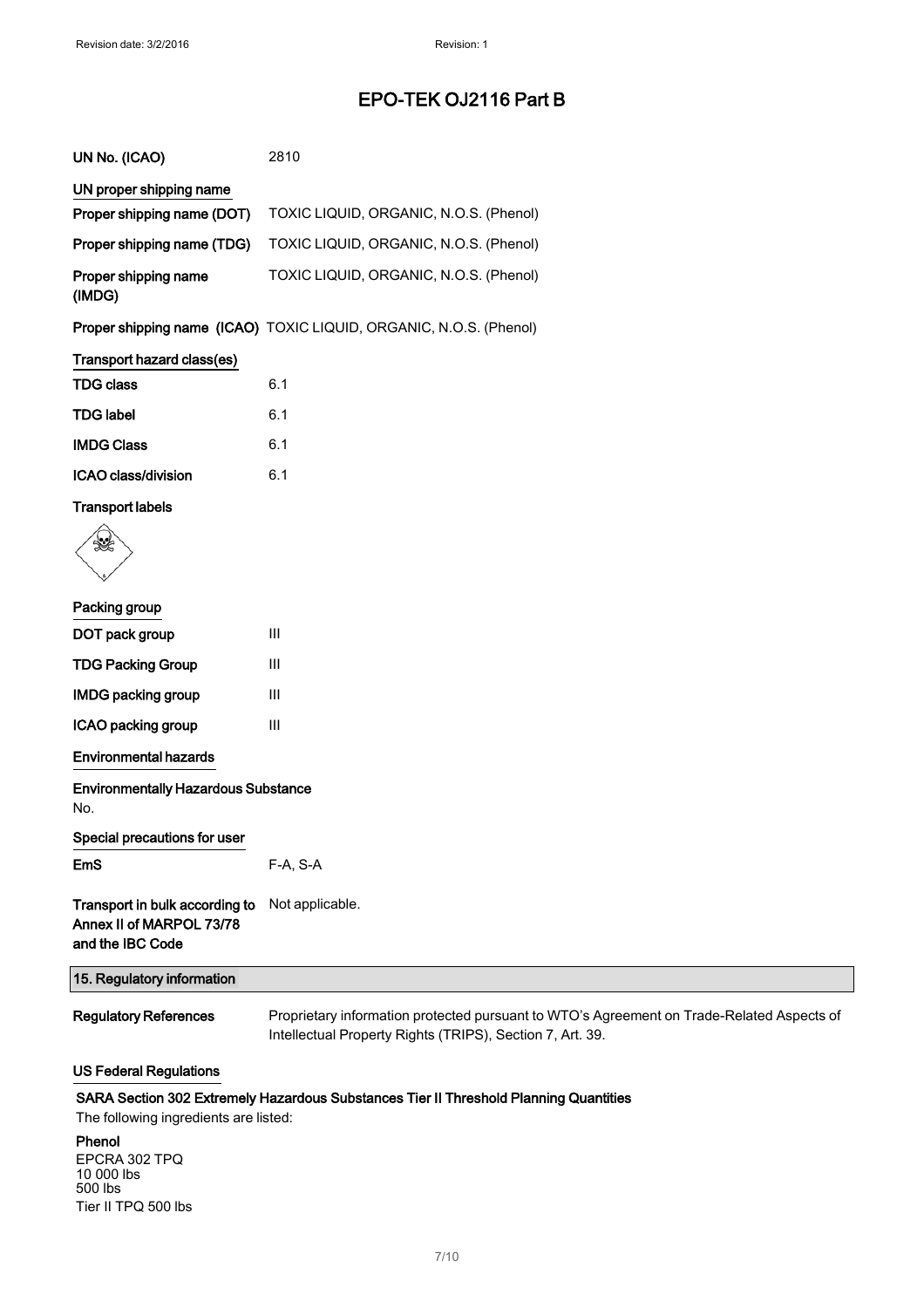| UN No. (ICAO)                  | 2810                                                               |
|--------------------------------|--------------------------------------------------------------------|
| UN proper shipping name        |                                                                    |
| Proper shipping name (DOT)     | TOXIC LIQUID, ORGANIC, N.O.S. (Phenol)                             |
| Proper shipping name (TDG)     | TOXIC LIQUID, ORGANIC, N.O.S. (Phenol)                             |
| Proper shipping name<br>(IMDG) | TOXIC LIQUID, ORGANIC, N.O.S. (Phenol)                             |
|                                | Proper shipping name (ICAO) TOXIC LIQUID, ORGANIC, N.O.S. (Phenol) |
| Transport hazard class(es)     |                                                                    |
| <b>TDG class</b>               | 6.1                                                                |
| <b>TDG label</b>               | 6.1                                                                |
| <b>IMDG Class</b>              | 6.1                                                                |
| <b>ICAO class/division</b>     | 6.1                                                                |
| <b>Transport labels</b>        |                                                                    |
|                                |                                                                    |

## Packing group

| DOT pack group            | Ш |
|---------------------------|---|
| <b>TDG Packing Group</b>  | Ш |
| <b>IMDG packing group</b> | Ш |
| ICAO packing group        | Ш |

Environmental hazards

| <b>Environmentally Hazardous Substance</b><br>No.                              |                                                                                                                                                        |
|--------------------------------------------------------------------------------|--------------------------------------------------------------------------------------------------------------------------------------------------------|
| Special precautions for user                                                   |                                                                                                                                                        |
| EmS                                                                            | F-A, S-A                                                                                                                                               |
| Transport in bulk according to<br>Annex II of MARPOL 73/78<br>and the IBC Code | Not applicable.                                                                                                                                        |
| 15. Regulatory information                                                     |                                                                                                                                                        |
| <b>Regulatory References</b>                                                   | Proprietary information protected pursuant to WTO's Agreement on Trade-Related Aspects of<br>Intellectual Property Rights (TRIPS), Section 7, Art. 39. |
|                                                                                |                                                                                                                                                        |

## US Federal Regulations

## SARA Section 302 Extremely Hazardous Substances Tier II Threshold Planning Quantities

The following ingredients are listed:

### Phenol

EPCRA 302 TPQ 10 000 lbs 500 lbs Tier II TPQ 500 lbs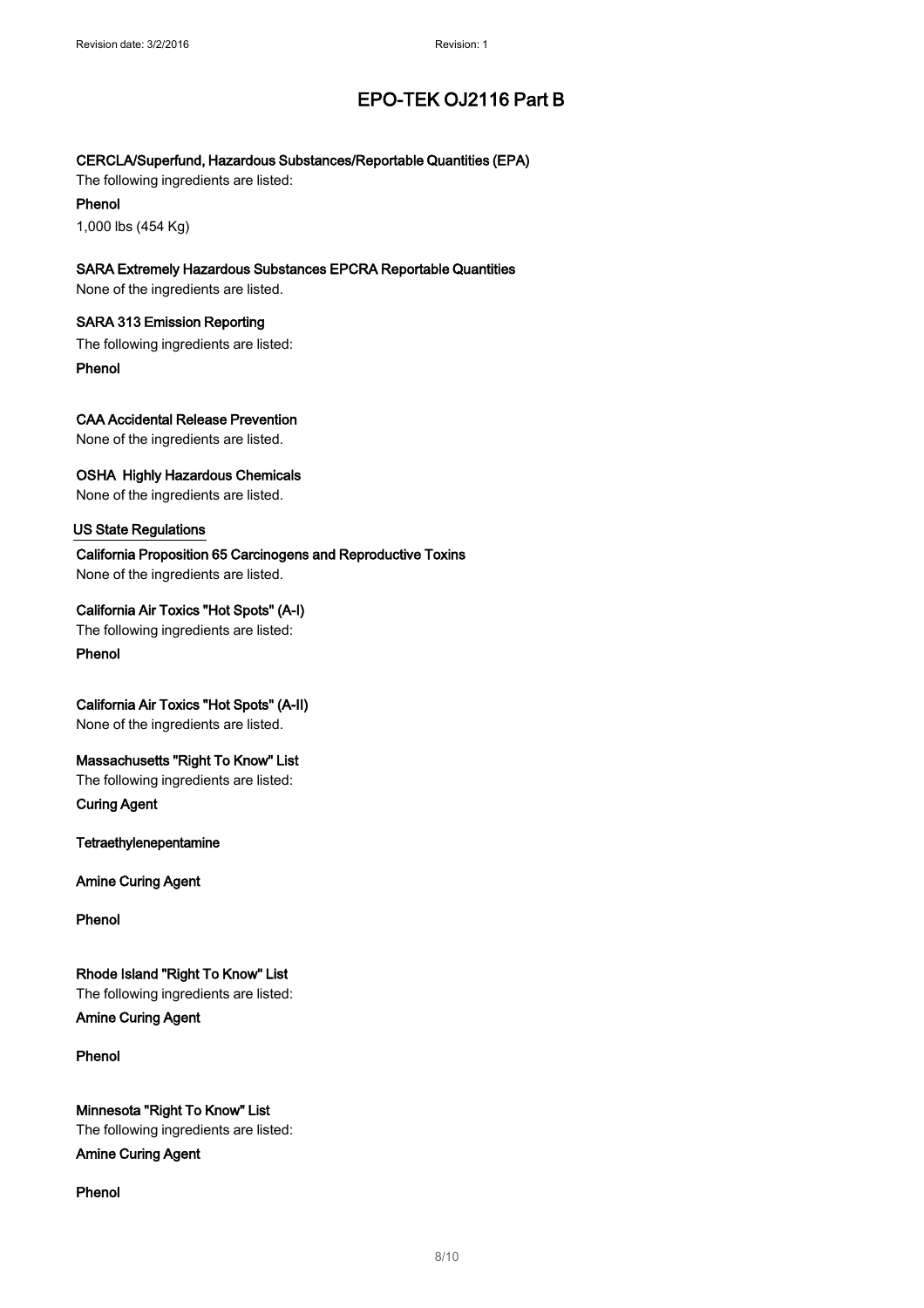## CERCLA/Superfund, Hazardous Substances/Reportable Quantities (EPA)

The following ingredients are listed:

Phenol 1,000 lbs (454 Kg)

## SARA Extremely Hazardous Substances EPCRA Reportable Quantities

None of the ingredients are listed.

## SARA 313 Emission Reporting

The following ingredients are listed:

Phenol

## CAA Accidental Release Prevention

None of the ingredients are listed.

## OSHA Highly Hazardous Chemicals

None of the ingredients are listed.

## US State Regulations

California Proposition 65 Carcinogens and Reproductive Toxins None of the ingredients are listed.

## California Air Toxics "Hot Spots" (A-I)

The following ingredients are listed:

Phenol

## California Air Toxics "Hot Spots" (A-II)

None of the ingredients are listed.

## Massachusetts "Right To Know" List

The following ingredients are listed:

Curing Agent

Tetraethylenepentamine

Amine Curing Agent

Phenol

## Rhode Island "Right To Know" List

The following ingredients are listed: Amine Curing Agent

## Phenol

Minnesota "Right To Know" List The following ingredients are listed: Amine Curing Agent

## Phenol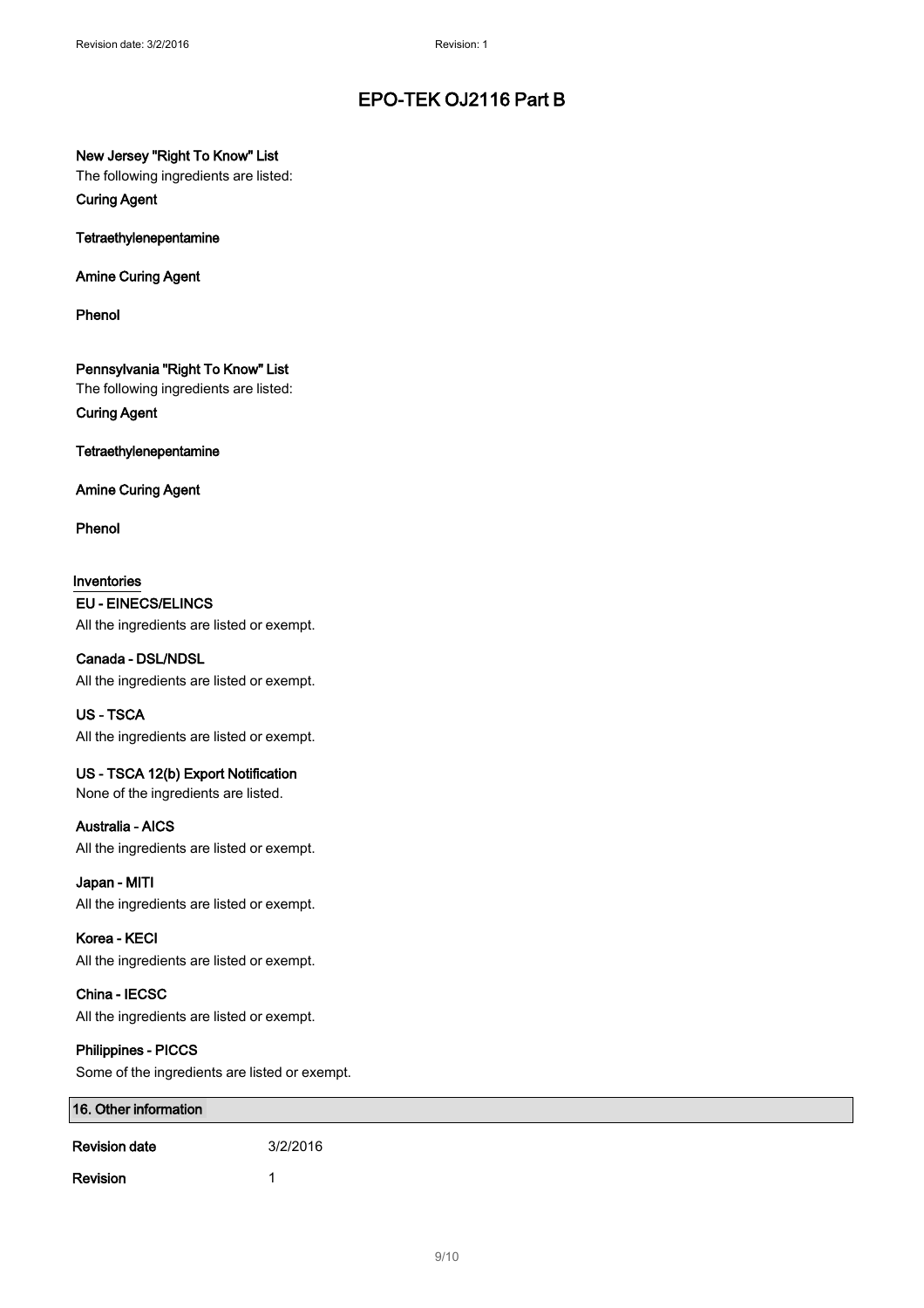## New Jersey "Right To Know" List

The following ingredients are listed:

Curing Agent

Tetraethylenepentamine

Amine Curing Agent

Phenol

Pennsylvania "Right To Know" List

The following ingredients are listed:

Curing Agent

Tetraethylenepentamine

Amine Curing Agent

Phenol

Inventories EU - EINECS/ELINCS All the ingredients are listed or exempt.

Canada - DSL/NDSL All the ingredients are listed or exempt.

US - TSCA All the ingredients are listed or exempt.

US - TSCA 12(b) Export Notification None of the ingredients are listed.

## Australia - AICS All the ingredients are listed or exempt.

Japan - MITI All the ingredients are listed or exempt.

Korea - KECI All the ingredients are listed or exempt.

China - IECSC All the ingredients are listed or exempt.

## Philippines - PICCS

Some of the ingredients are listed or exempt.

| 16. Other information |          |
|-----------------------|----------|
| <b>Revision date</b>  | 3/2/2016 |
| Revision              |          |